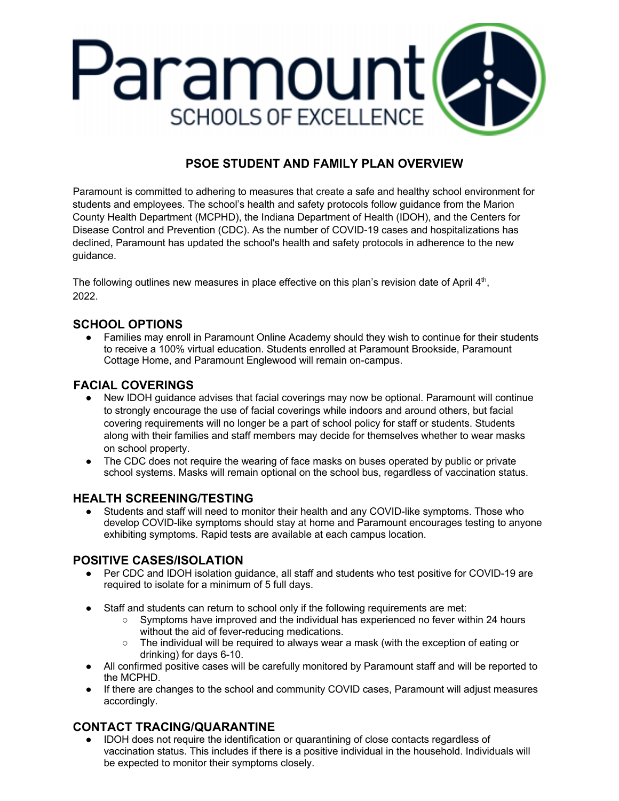

## **PSOE STUDENT AND FAMILY PLAN OVERVIEW**

Paramount is committed to adhering to measures that create a safe and healthy school environment for students and employees. The school's health and safety protocols follow guidance from the Marion County Health Department (MCPHD), the Indiana Department of Health (IDOH), and the Centers for Disease Control and Prevention (CDC). As the number of COVID-19 cases and hospitalizations has declined, Paramount has updated the school's health and safety protocols in adherence to the new guidance.

The following outlines new measures in place effective on this plan's revision date of April 4th, 2022.

#### **SCHOOL OPTIONS**

● Families may enroll in Paramount Online Academy should they wish to continue for their students to receive a 100% virtual education. Students enrolled at Paramount Brookside, Paramount Cottage Home, and Paramount Englewood will remain on-campus.

#### **FACIAL COVERINGS**

- New IDOH guidance advises that facial coverings may now be optional. Paramount will continue to strongly encourage the use of facial coverings while indoors and around others, but facial covering requirements will no longer be a part of school policy for staff or students. Students along with their families and staff members may decide for themselves whether to wear masks on school property.
- The CDC does not require the wearing of face masks on buses operated by public or private school systems. Masks will remain optional on the school bus, regardless of vaccination status.

#### **HEALTH SCREENING/TESTING**

Students and staff will need to monitor their health and any COVID-like symptoms. Those who develop COVID-like symptoms should stay at home and Paramount encourages testing to anyone exhibiting symptoms. Rapid tests are available at each campus location.

# **POSITIVE CASES/ISOLATION**<br>**Per CDC and IDOH isolation qui**

- Per CDC and IDOH isolation guidance, all staff and students who test positive for COVID-19 are required to isolate for a minimum of 5 full days.
- Staff and students can return to school only if the following requirements are met:
	- Symptoms have improved and the individual has experienced no fever within 24 hours without the aid of fever-reducing medications.
	- The individual will be required to always wear a mask (with the exception of eating or drinking) for days 6-10.
- All confirmed positive cases will be carefully monitored by Paramount staff and will be reported to the MCPHD.
- If there are changes to the school and community COVID cases, Paramount will adjust measures accordingly.

### **CONTACT TRACING/QUARANTINE**

● IDOH does not require the identification or quarantining of close contacts regardless of vaccination status. This includes if there is a positive individual in the household. Individuals will be expected to monitor their symptoms closely.